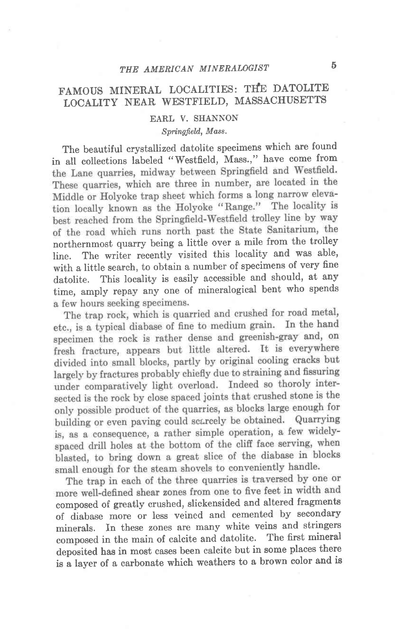## FAMOUS MINERAL LOCALITIES: THE DATOLITE LOCALITY NEAR WESTFIELD, MASSACHUSETTS

## EARL V. SHANNON

## Springfield, Mass.

The beautiful crystallized datolite specimens which are found in all collections labeled "Westfield, Mass.," have come from the Lane quarries, midway between Springfield and Westfield. These quarries, which are three in number, are located in the Middle or Holyoke trap sheet which forms a long narrow elevation locally known as the Holyoke "Range." The locality is best reached from the Springfield-Westfield trolley line by way of the road which runs north past the State Sanitarium, the northernmost quarry being a little over a mile from the trolley line. The writer recently visited this locality and was able, with a little search, to obtain a number of specimens of very fine datolite. This locality is easily accessible and should, at any time, amply repay any one of mineralogical bent who spends a few hours seeking specimens.

The trap rock, which is quarried and crushed for road metal, etc., is a typical diabase of fine to medium grain. In the hand specimen the rock is rather dense and greenish-gray and, on fresh fracture, appears but little altered. It is everywhere divided into small blocks, partly by original cooling cracks but largely by fractures probably chiefly due to straining and fissuring under comparatively light overload. Indeed so thoroly intersected is the rock by close spaced joints that crushed stone is the only possible product of the quarries, as blocks large enough for building or even paving could scarcely be obtained. Quarrying is, as a consequence, a rather simple operation, a few widelyspaced drill holes at the bottom of the cliff face serving, when blasted, to bring down a great slice of the diabase in blocks small enough for the steam shovels to conveniently handle.

The trap in each of the three quarries is traversed by one or more well-defined shear zones from one to five feet in width and composed of greatly crushed, slickensided and altered fragments of diabase more or less veined and cemented by secondary minerals. In these zones are many white veins and stringers composed in the main of calcite and datolite. The first mineral deposited has in most cases been calcite but in some places there is a layer of a carbonate which weathers to a brown color and is